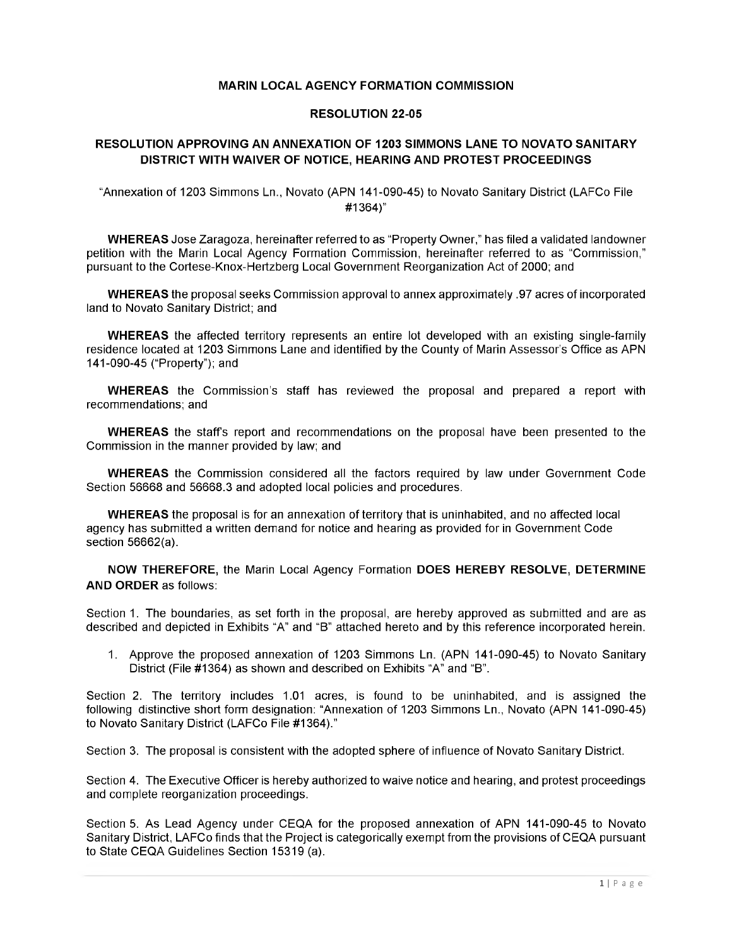### **MARIN LOCAL AGENCY FORMATION COMMISSION**

#### **RESOLUTION 22-05**

### **RESOLUTION APPROVING AN ANNEXATION OF 1203 SIMMONS LANE TO NOVATO SANITARY DISTRICT WITH WAIVER OF NOTICE, HEARING AND PROTEST PROCEEDINGS**

"Annexation of 1203 Simmons Ln., Novato (APN 141-090-45) to Novato Sanitary District (LAFCo File #1364)"

**WHEREAS** Jose Zaragoza, hereinafter referred to as "Property Owner," has filed a validated landowner petition with the Marin Local Agency Formation Commission, hereinafter referred to as "Commission," pursuant to the Cortese-Knox-Hertzberg Local Government Reorganization Act of 2000; and

**WHEREAS** the proposal seeks Commission approval to annex approximately .97 acres of incorporated land to Novato Sanitary District; and

**WHEREAS** the affected territory represents an entire lot developed with an existing single-family residence located at 1203 Simmons Lane and identified by the County of Marin Assessor's Office as APN 141-090-45 ("Property"); and

**WHEREAS** the Commission's staff has reviewed the proposal and prepared a report with recommendations; and

**WHEREAS** the staff's report and recommendations on the proposal have been presented to the Commission in the manner provided by law; and

**WHEREAS** the Commission considered all the factors required by law under Government Code Section 56668 and 56668.3 and adopted local policies and procedures.

**WHEREAS** the proposal is for an annexation of territory that is uninhabited, and no affected local agency has submitted a written demand for notice and hearing as provided for in Government Code section 56662(a).

**NOW THEREFORE,** the Marin Local Agency Formation **DOES HEREBY RESOLVE, DETERMINE AND ORDER** as follows:

Section 1. The boundaries, as set forth in the proposal, are hereby approved as submitted and are as described and depicted in Exhibits "A" and "B" attached hereto and by this reference incorporated herein.

1. Approve the proposed annexation of 1203 Simmons Ln. (APN 141-090-45) to Novato Sanitary District (File #1364) as shown and described on Exhibits "A" and "B".

Section 2. The territory includes 1.01 acres, is found to be uninhabited, and is assigned the following distinctive short form designation: "Annexation of 1203 Simmons Ln., Novato (APN 141-090-45) to Novato Sanitary District (LAFCo File #1364)."

Section 3. The proposal is consistent with the adopted sphere of influence of Novato Sanitary District.

Section 4. The Executive Officer is hereby authorized to waive notice and hearing, and protest proceedings and complete reorganization proceedings.

Section 5. As Lead Agency under CEQA for the proposed annexation of APN 141-090-45 to Novato Sanitary District, LAFCo finds that the Project is categorically exempt from the provisions of CEQA pursuant to State CEQA Guidelines Section 15319 (a).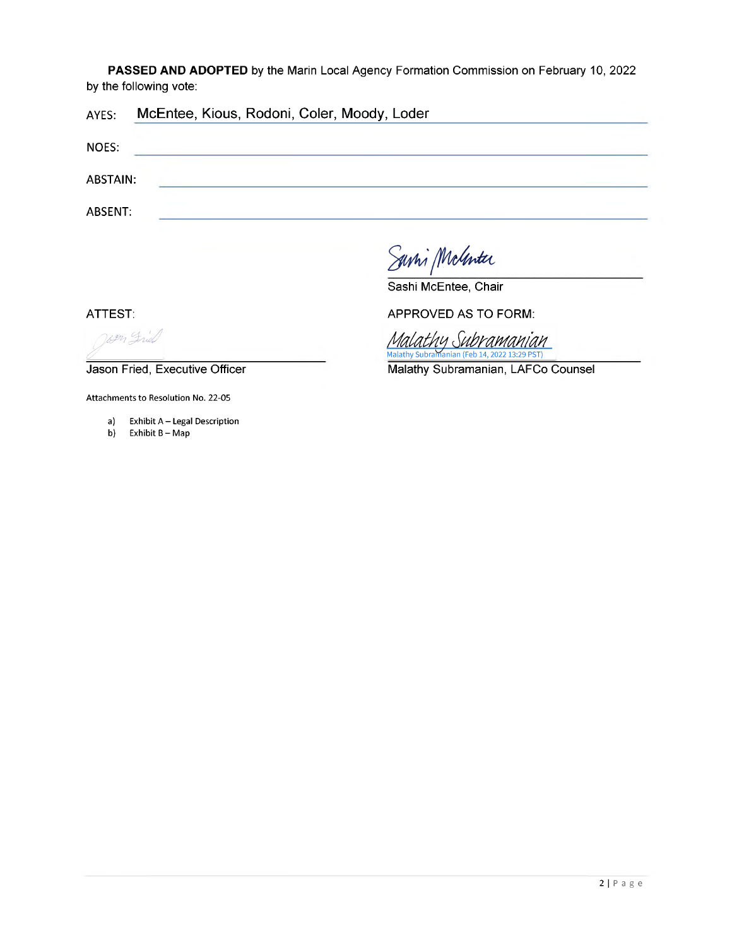**PASSED AND ADOPTED** by the Marin Local Agency Formation Commission on February 10, 2022 by the following vote:

| AYES:        | McEntee, Kious, Rodoni, Coler, Moody, Loder |
|--------------|---------------------------------------------|
| <b>NOES:</b> |                                             |
| ABSTAIN:     |                                             |
| ABSENT:      |                                             |

Savir McGenter

Sashi McEntee, Chair

ATTEST:

UPM Frield

Jason Fried, Executive Officer

Attachments to Resolution No. 22-05

- a) Exhibit A Legal Description<br>b) Exhibit B Map
- Exhibit B Map

APPROVED AS TO FORM:

Malathy Subramanian **Ialathy Subra** nian (Feb 14, 2022 13:29 PST)

Malathy Subramanian, LAFCo Counsel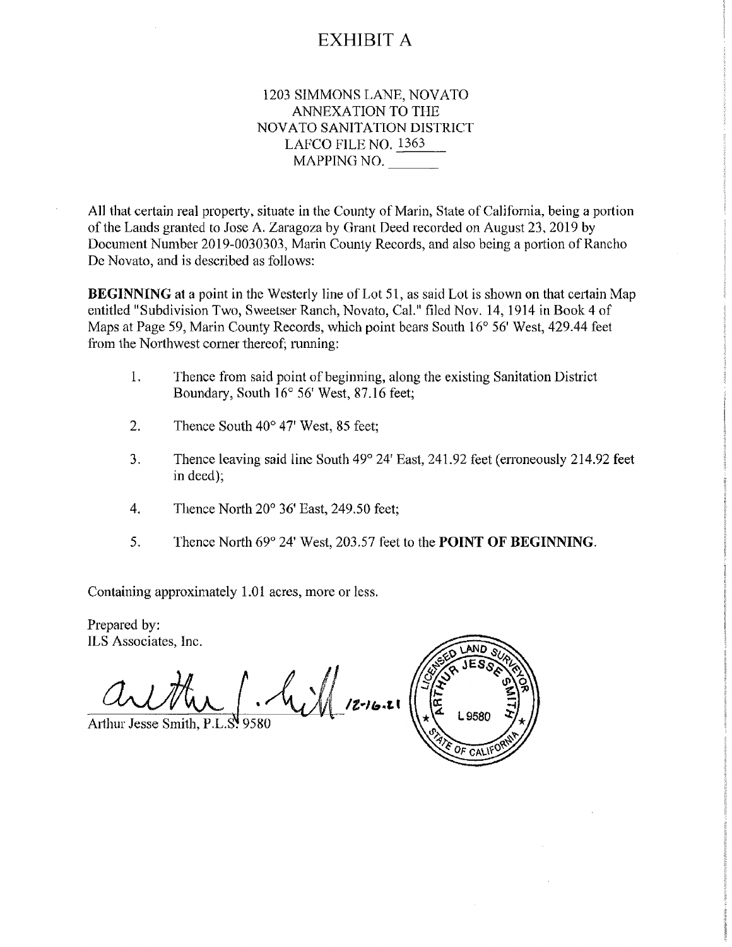## EXHIBIT A

### 1203 SIMMONS LANE, NOVATO ANNEXATION TO THE NOVATO SANITATION DISTRICT LAFCO FILE NO. <sup>1363</sup> MAPPING NO.

All that certain real property, situate in the County of Marin, State of California, being a portion ofthe Lands granted to Jose A. Zaragoza by Grant Deed recorded on August 23, 2019 by Document Number 2019-0030303, Marin County Records, and also being a portion of Rancho De Novato, and is described as follows:

**BEGINNING** at a point in the Westerly line of Lot 51, as said Lot is shown on that certain Map entitled "Subdivision Two, Sweetser Ranch, Novato, Cal." filed Nov. 14,1914 in Book 4 of Maps at Page 59, Marin County Records, which point bears South 16° 56' West, 429.44 feet from the Northwest corner thereof; running:

- 1. Thence from said point of beginning, along the existing Sanitation District Boundary, South 16° 56' West, 87.16 feet;
- 2. Thence South 40° 47' West, 85 feet;
- 3. Thence leaving said line South 49° 24' East, 241.92 feet (erroneously 214.92 feet in deed);

OF CAL

- 4. Thence North 20° 36' East, 249.50 feet;
- 5. Thence North 69° 24' West, 203.57 feet to the **POINT OF BEGINNING.**

Containing approximately 1.01 acres, more or less.

Prepared by:<br>ILS Associates, Inc.

**ARTHY**  $\mathcal{A}_{i}$   $\mathcal{A}_{i}$  12-16.21 L9580 Arthur Jesse Smith, P.L.S